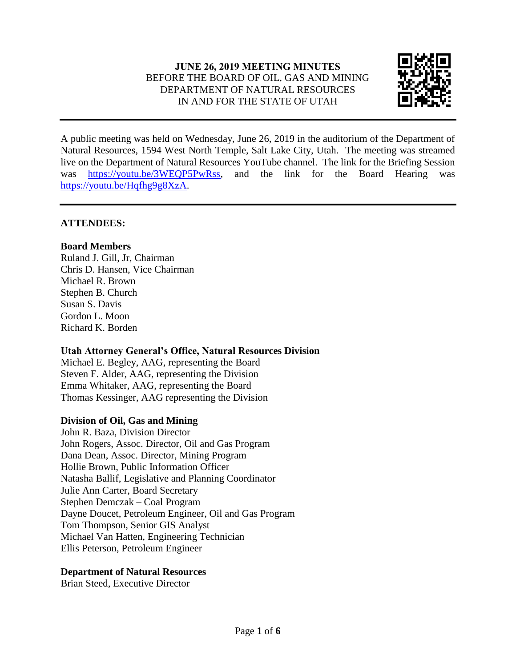# **JUNE 26, 2019 MEETING MINUTES** BEFORE THE BOARD OF OIL, GAS AND MINING DEPARTMENT OF NATURAL RESOURCES IN AND FOR THE STATE OF UTAH



A public meeting was held on Wednesday, June 26, 2019 in the auditorium of the Department of Natural Resources, 1594 West North Temple, Salt Lake City, Utah. The meeting was streamed live on the Department of Natural Resources YouTube channel. The link for the Briefing Session was [https://youtu.be/3WEQP5PwRss,](https://youtu.be/3WEQP5PwRss) and the link for the Board Hearing was [https://youtu.be/Hqfhg9g8XzA.](https://youtu.be/Hqfhg9g8XzA)

## **ATTENDEES:**

## **Board Members**

Ruland J. Gill, Jr, Chairman Chris D. Hansen, Vice Chairman Michael R. Brown Stephen B. Church Susan S. Davis Gordon L. Moon Richard K. Borden

#### **Utah Attorney General's Office, Natural Resources Division**

Michael E. Begley, AAG, representing the Board Steven F. Alder, AAG, representing the Division Emma Whitaker, AAG, representing the Board Thomas Kessinger, AAG representing the Division

## **Division of Oil, Gas and Mining**

John R. Baza, Division Director John Rogers, Assoc. Director, Oil and Gas Program Dana Dean, Assoc. Director, Mining Program Hollie Brown, Public Information Officer Natasha Ballif, Legislative and Planning Coordinator Julie Ann Carter, Board Secretary Stephen Demczak – Coal Program Dayne Doucet, Petroleum Engineer, Oil and Gas Program Tom Thompson, Senior GIS Analyst Michael Van Hatten, Engineering Technician Ellis Peterson, Petroleum Engineer

#### **Department of Natural Resources**

Brian Steed, Executive Director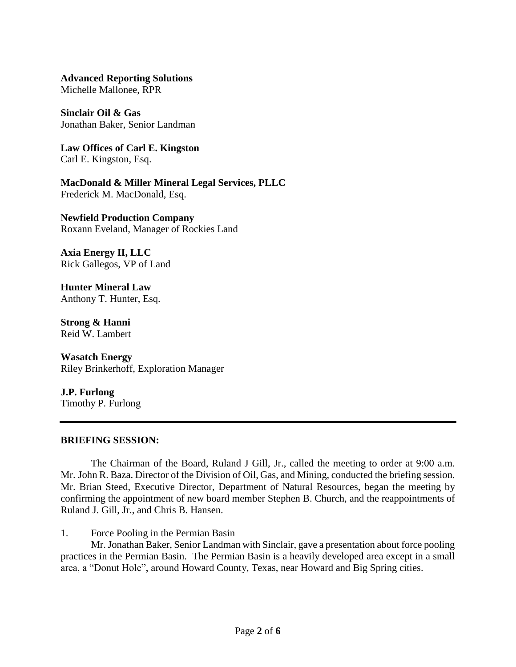**Advanced Reporting Solutions**

Michelle Mallonee, RPR

**Sinclair Oil & Gas** Jonathan Baker, Senior Landman

**Law Offices of Carl E. Kingston** Carl E. Kingston, Esq.

**MacDonald & Miller Mineral Legal Services, PLLC** Frederick M. MacDonald, Esq.

**Newfield Production Company** Roxann Eveland, Manager of Rockies Land

**Axia Energy II, LLC** Rick Gallegos, VP of Land

**Hunter Mineral Law** Anthony T. Hunter, Esq.

**Strong & Hanni** Reid W. Lambert

**Wasatch Energy** Riley Brinkerhoff, Exploration Manager

**J.P. Furlong** Timothy P. Furlong

#### **BRIEFING SESSION:**

The Chairman of the Board, Ruland J Gill, Jr., called the meeting to order at 9:00 a.m. Mr. John R. Baza. Director of the Division of Oil, Gas, and Mining, conducted the briefing session. Mr. Brian Steed, Executive Director, Department of Natural Resources, began the meeting by confirming the appointment of new board member Stephen B. Church, and the reappointments of Ruland J. Gill, Jr., and Chris B. Hansen.

1. Force Pooling in the Permian Basin

Mr. Jonathan Baker, Senior Landman with Sinclair, gave a presentation about force pooling practices in the Permian Basin. The Permian Basin is a heavily developed area except in a small area, a "Donut Hole", around Howard County, Texas, near Howard and Big Spring cities.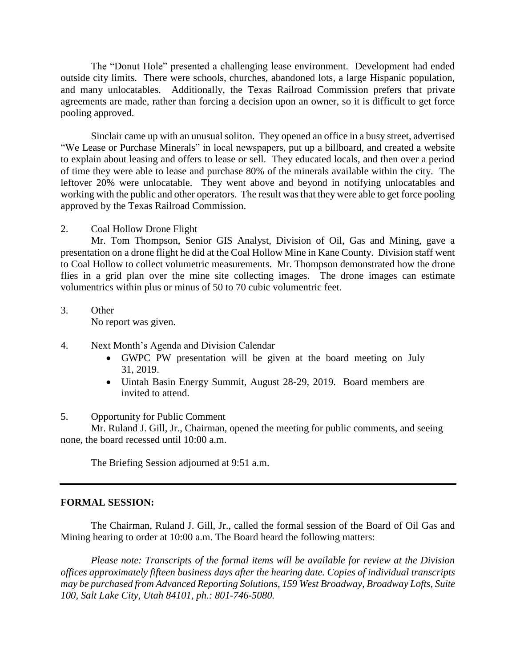The "Donut Hole" presented a challenging lease environment. Development had ended outside city limits. There were schools, churches, abandoned lots, a large Hispanic population, and many unlocatables. Additionally, the Texas Railroad Commission prefers that private agreements are made, rather than forcing a decision upon an owner, so it is difficult to get force pooling approved.

Sinclair came up with an unusual soliton. They opened an office in a busy street, advertised "We Lease or Purchase Minerals" in local newspapers, put up a billboard, and created a website to explain about leasing and offers to lease or sell. They educated locals, and then over a period of time they were able to lease and purchase 80% of the minerals available within the city. The leftover 20% were unlocatable. They went above and beyond in notifying unlocatables and working with the public and other operators. The result was that they were able to get force pooling approved by the Texas Railroad Commission.

#### 2. Coal Hollow Drone Flight

Mr. Tom Thompson, Senior GIS Analyst, Division of Oil, Gas and Mining, gave a presentation on a drone flight he did at the Coal Hollow Mine in Kane County. Division staff went to Coal Hollow to collect volumetric measurements. Mr. Thompson demonstrated how the drone flies in a grid plan over the mine site collecting images. The drone images can estimate volumentrics within plus or minus of 50 to 70 cubic volumentric feet.

- 3. Other No report was given.
- 4. Next Month's Agenda and Division Calendar
	- GWPC PW presentation will be given at the board meeting on July 31, 2019.
	- Uintah Basin Energy Summit, August 28-29, 2019. Board members are invited to attend.

## 5. Opportunity for Public Comment

Mr. Ruland J. Gill, Jr., Chairman, opened the meeting for public comments, and seeing none, the board recessed until 10:00 a.m.

The Briefing Session adjourned at 9:51 a.m.

#### **FORMAL SESSION:**

The Chairman, Ruland J. Gill, Jr., called the formal session of the Board of Oil Gas and Mining hearing to order at 10:00 a.m. The Board heard the following matters:

*Please note: Transcripts of the formal items will be available for review at the Division offices approximately fifteen business days after the hearing date. Copies of individual transcripts may be purchased from Advanced Reporting Solutions, 159 West Broadway, Broadway Lofts, Suite 100, Salt Lake City, Utah 84101, ph.: 801-746-5080.*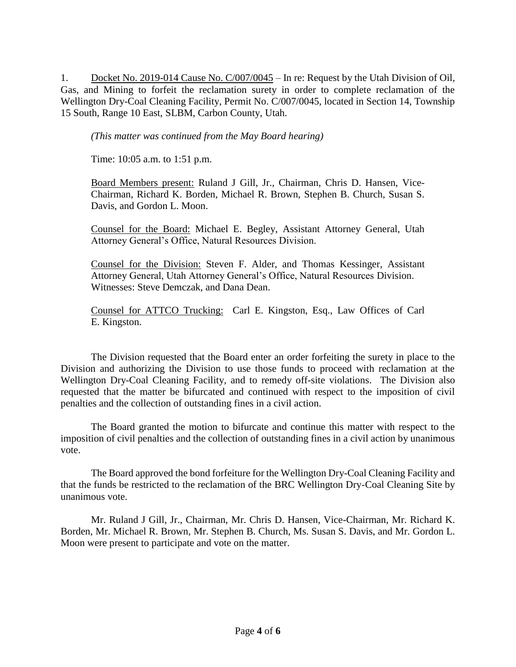1. Docket No. 2019-014 Cause No. C/007/0045 – In re: Request by the Utah Division of Oil, Gas, and Mining to forfeit the reclamation surety in order to complete reclamation of the Wellington Dry-Coal Cleaning Facility, Permit No. C/007/0045, located in Section 14, Township 15 South, Range 10 East, SLBM, Carbon County, Utah.

*(This matter was continued from the May Board hearing)*

Time: 10:05 a.m. to 1:51 p.m.

Board Members present: Ruland J Gill, Jr., Chairman, Chris D. Hansen, Vice-Chairman, Richard K. Borden, Michael R. Brown, Stephen B. Church, Susan S. Davis, and Gordon L. Moon.

Counsel for the Board: Michael E. Begley, Assistant Attorney General, Utah Attorney General's Office, Natural Resources Division.

Counsel for the Division: Steven F. Alder, and Thomas Kessinger, Assistant Attorney General, Utah Attorney General's Office, Natural Resources Division. Witnesses: Steve Demczak, and Dana Dean.

Counsel for ATTCO Trucking: Carl E. Kingston, Esq., Law Offices of Carl E. Kingston.

The Division requested that the Board enter an order forfeiting the surety in place to the Division and authorizing the Division to use those funds to proceed with reclamation at the Wellington Dry-Coal Cleaning Facility, and to remedy off-site violations. The Division also requested that the matter be bifurcated and continued with respect to the imposition of civil penalties and the collection of outstanding fines in a civil action.

The Board granted the motion to bifurcate and continue this matter with respect to the imposition of civil penalties and the collection of outstanding fines in a civil action by unanimous vote.

The Board approved the bond forfeiture for the Wellington Dry-Coal Cleaning Facility and that the funds be restricted to the reclamation of the BRC Wellington Dry-Coal Cleaning Site by unanimous vote.

Mr. Ruland J Gill, Jr., Chairman, Mr. Chris D. Hansen, Vice-Chairman, Mr. Richard K. Borden, Mr. Michael R. Brown, Mr. Stephen B. Church, Ms. Susan S. Davis, and Mr. Gordon L. Moon were present to participate and vote on the matter.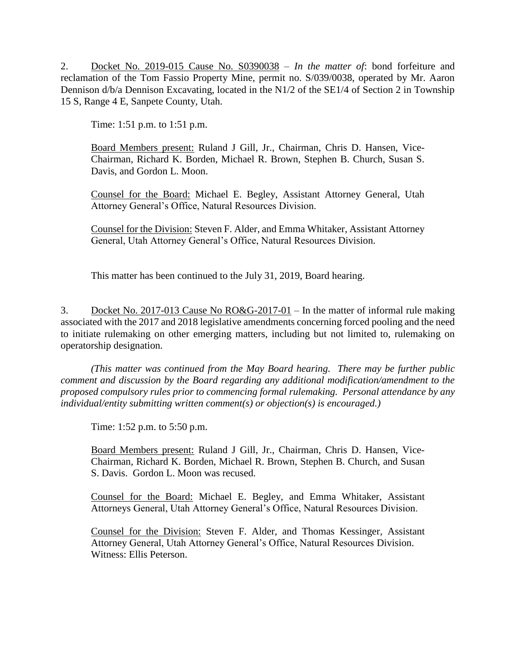2. Docket No. 2019-015 Cause No. S0390038 – *In the matter of*: bond forfeiture and reclamation of the Tom Fassio Property Mine, permit no. S/039/0038, operated by Mr. Aaron Dennison d/b/a Dennison Excavating, located in the N1/2 of the SE1/4 of Section 2 in Township 15 S, Range 4 E, Sanpete County, Utah.

Time: 1:51 p.m. to 1:51 p.m.

Board Members present: Ruland J Gill, Jr., Chairman, Chris D. Hansen, Vice-Chairman, Richard K. Borden, Michael R. Brown, Stephen B. Church, Susan S. Davis, and Gordon L. Moon.

Counsel for the Board: Michael E. Begley, Assistant Attorney General, Utah Attorney General's Office, Natural Resources Division.

Counsel for the Division: Steven F. Alder, and Emma Whitaker, Assistant Attorney General, Utah Attorney General's Office, Natural Resources Division.

This matter has been continued to the July 31, 2019, Board hearing.

3. Docket No. 2017-013 Cause No RO&G-2017-01 – In the matter of informal rule making associated with the 2017 and 2018 legislative amendments concerning forced pooling and the need to initiate rulemaking on other emerging matters, including but not limited to, rulemaking on operatorship designation.

*(This matter was continued from the May Board hearing. There may be further public comment and discussion by the Board regarding any additional modification/amendment to the proposed compulsory rules prior to commencing formal rulemaking. Personal attendance by any individual/entity submitting written comment(s) or objection(s) is encouraged.)*

Time: 1:52 p.m. to 5:50 p.m.

Board Members present: Ruland J Gill, Jr., Chairman, Chris D. Hansen, Vice-Chairman, Richard K. Borden, Michael R. Brown, Stephen B. Church, and Susan S. Davis. Gordon L. Moon was recused.

Counsel for the Board: Michael E. Begley, and Emma Whitaker, Assistant Attorneys General, Utah Attorney General's Office, Natural Resources Division.

Counsel for the Division: Steven F. Alder, and Thomas Kessinger, Assistant Attorney General, Utah Attorney General's Office, Natural Resources Division. Witness: Ellis Peterson.